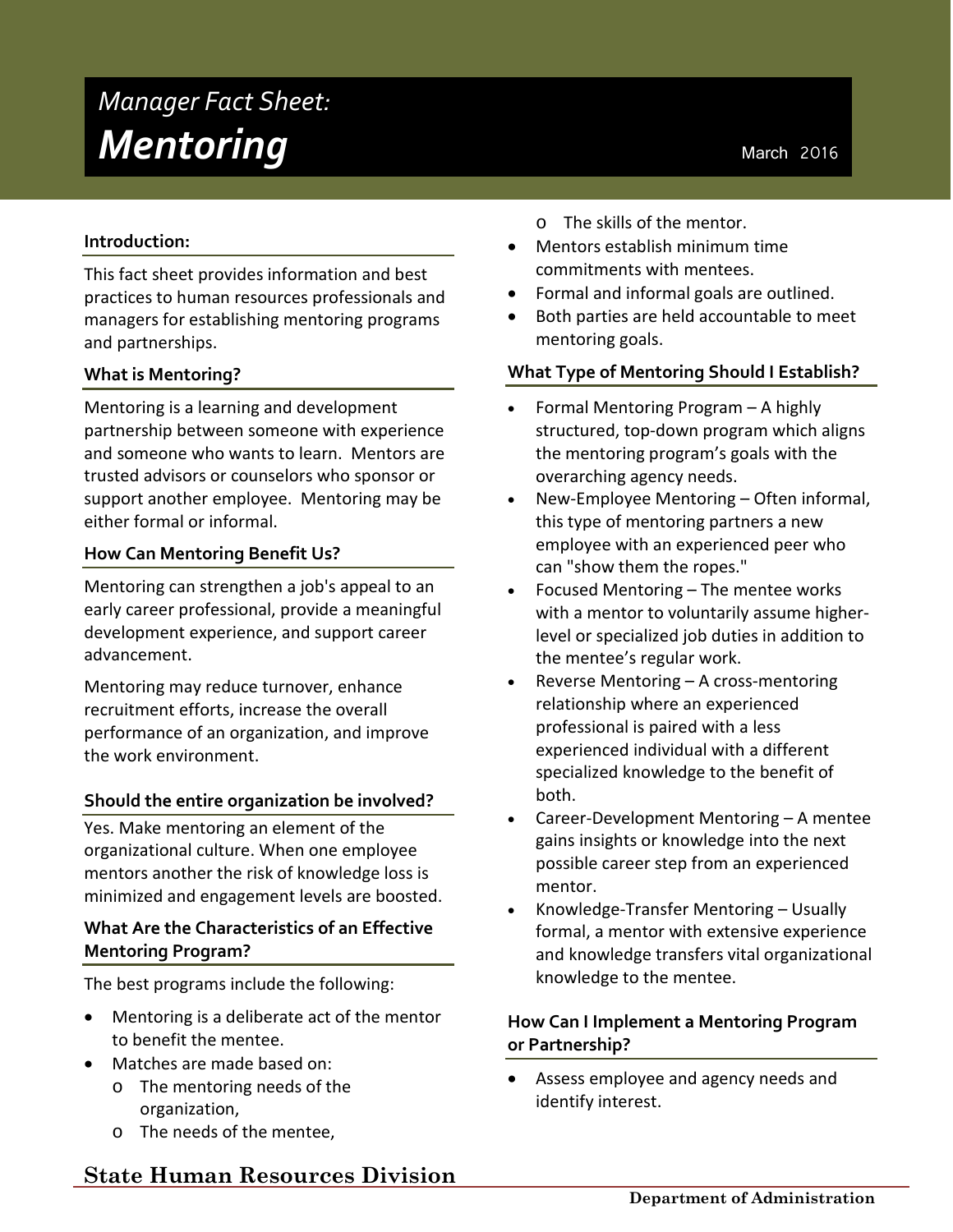# *Manager Fact Sheet:* **Mentoring**<br>
March 2016

# **Introduction:**

This fact sheet provides information and best practices to human resources professionals and managers for establishing mentoring programs and partnerships.

# **What is Mentoring?**

Mentoring is a learning and development partnership between someone with experience and someone who wants to learn. Mentors are trusted advisors or counselors who sponsor or support another employee. Mentoring may be either formal or informal.

#### **How Can Mentoring Benefit Us?**

Mentoring can strengthen a job's appeal to an early career professional, provide a meaningful development experience, and support career advancement.

Mentoring may reduce turnover, enhance recruitment efforts, increase the overall performance of an organization, and improve the work environment.

#### **Should the entire organization be involved?**

Yes. Make mentoring an element of the organizational culture. When one employee mentors another the risk of knowledge loss is minimized and engagement levels are boosted.

# **What Are the Characteristics of an Effective Mentoring Program?**

The best programs include the following:

- Mentoring is a deliberate act of the mentor to benefit the mentee.
- Matches are made based on:
	- o The mentoring needs of the organization,
	- o The needs of the mentee,
- o The skills of the mentor.
- Mentors establish minimum time commitments with mentees.
- Formal and informal goals are outlined.
- Both parties are held accountable to meet mentoring goals.

#### **What Type of Mentoring Should I Establish?**

- Formal Mentoring Program A highly structured, top-down program which aligns the mentoring program's goals with the overarching agency needs.
- New-Employee Mentoring Often informal, this type of mentoring partners a new employee with an experienced peer who can "show them the ropes."
- Focused Mentoring The mentee works with a mentor to voluntarily assume higherlevel or specialized job duties in addition to the mentee's regular work.
- Reverse Mentoring A cross-mentoring relationship where an experienced professional is paired with a less experienced individual with a different specialized knowledge to the benefit of both.
- Career-Development Mentoring A mentee gains insights or knowledge into the next possible career step from an experienced mentor.
- Knowledge-Transfer Mentoring Usually formal, a mentor with extensive experience and knowledge transfers vital organizational knowledge to the mentee.

# **How Can I Implement a Mentoring Program or Partnership?**

• Assess employee and agency needs and identify interest.

**State Human Resources Division**